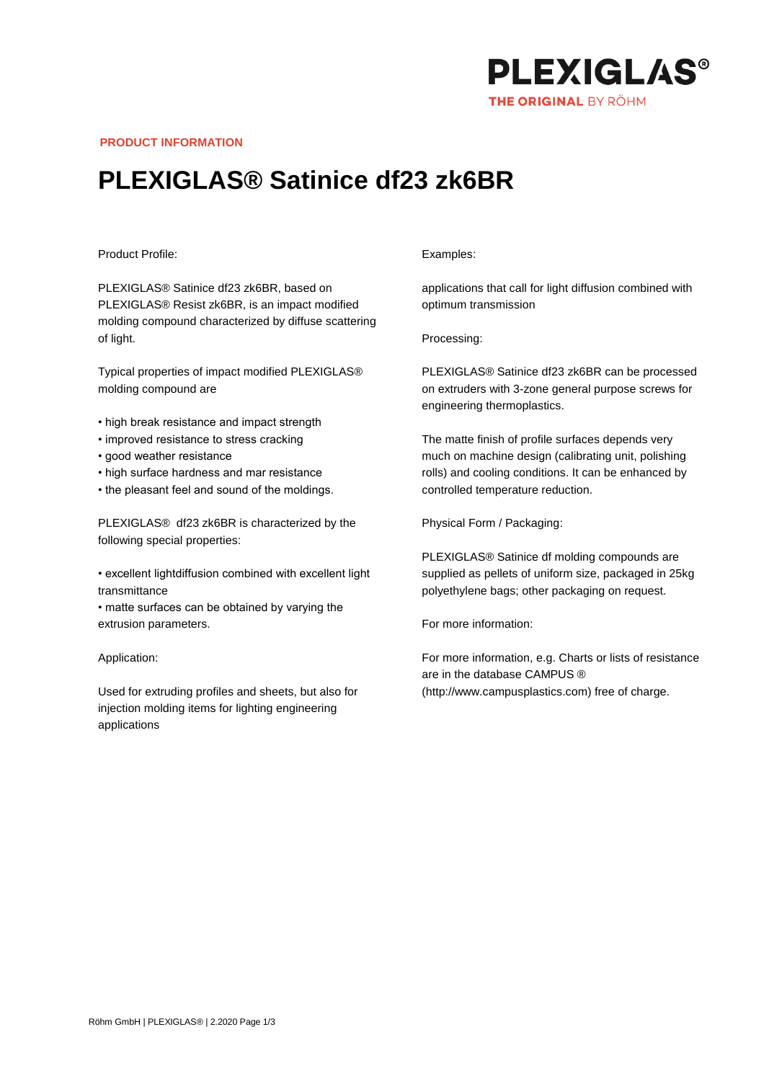

**PRODUCT INFORMATION**

## **PLEXIGLAS® Satinice df23 zk6BR**

## Product Profile:

PLEXIGLAS® Satinice df23 zk6BR, based on PLEXIGLAS® Resist zk6BR, is an impact modified molding compound characterized by diffuse scattering of light.

Typical properties of impact modified PLEXIGLAS® molding compound are

- high break resistance and impact strength
- improved resistance to stress cracking
- good weather resistance
- high surface hardness and mar resistance
- the pleasant feel and sound of the moldings.

PLEXIGLAS® df23 zk6BR is characterized by the following special properties:

• excellent lightdiffusion combined with excellent light transmittance

• matte surfaces can be obtained by varying the extrusion parameters.

Application:

Used for extruding profiles and sheets, but also for injection molding items for lighting engineering applications

## Examples:

applications that call for light diffusion combined with optimum transmission

Processing:

PLEXIGLAS® Satinice df23 zk6BR can be processed on extruders with 3-zone general purpose screws for engineering thermoplastics.

The matte finish of profile surfaces depends very much on machine design (calibrating unit, polishing rolls) and cooling conditions. It can be enhanced by controlled temperature reduction.

Physical Form / Packaging:

PLEXIGLAS® Satinice df molding compounds are supplied as pellets of uniform size, packaged in 25kg polyethylene bags; other packaging on request.

For more information:

For more information, e.g. Charts or lists of resistance are in the database CAMPUS ® (http://www.campusplastics.com) free of charge.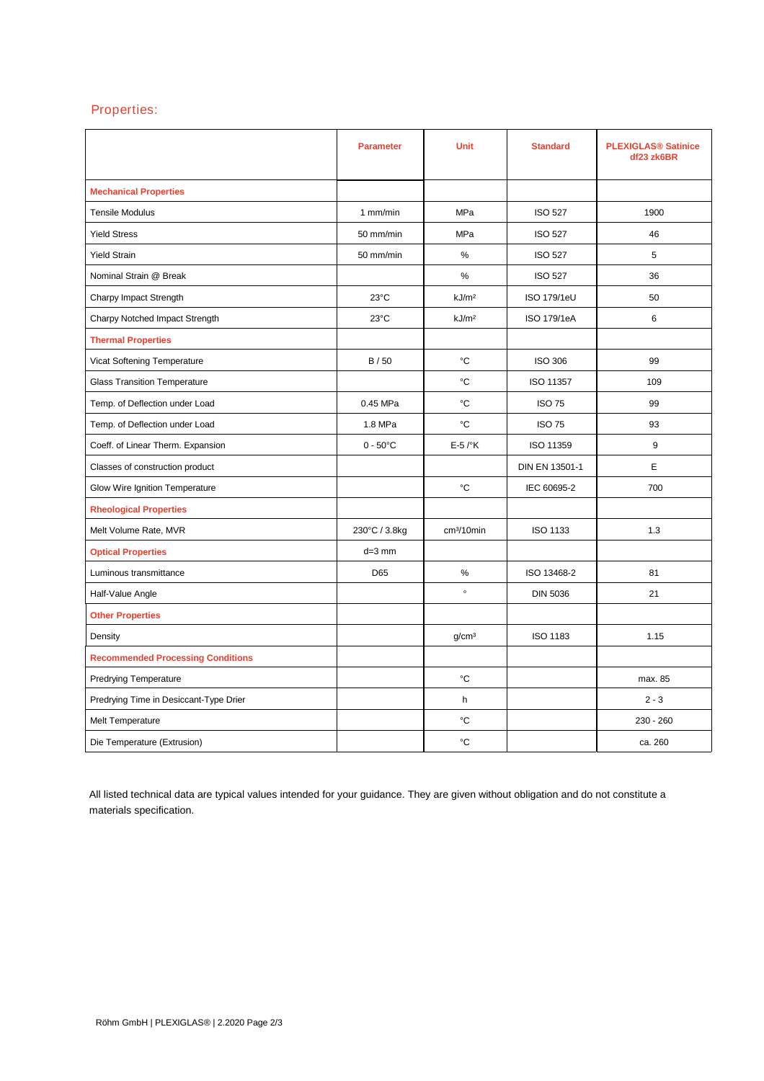## Properties:

|                                          | <b>Parameter</b>   | <b>Unit</b>            | <b>Standard</b>    | <b>PLEXIGLAS® Satinice</b><br>df23 zk6BR |
|------------------------------------------|--------------------|------------------------|--------------------|------------------------------------------|
| <b>Mechanical Properties</b>             |                    |                        |                    |                                          |
| <b>Tensile Modulus</b>                   | 1 mm/min           | MPa                    | <b>ISO 527</b>     | 1900                                     |
| <b>Yield Stress</b>                      | 50 mm/min          | <b>MPa</b>             | <b>ISO 527</b>     | 46                                       |
| <b>Yield Strain</b>                      | 50 mm/min          | %                      | <b>ISO 527</b>     | 5                                        |
| Nominal Strain @ Break                   |                    | $\%$                   | <b>ISO 527</b>     | 36                                       |
| Charpy Impact Strength                   | $23^{\circ}$ C     | kJ/m <sup>2</sup>      | <b>ISO 179/1eU</b> | 50                                       |
| Charpy Notched Impact Strength           | 23°C               | kJ/m <sup>2</sup>      | ISO 179/1eA        | 6                                        |
| <b>Thermal Properties</b>                |                    |                        |                    |                                          |
| Vicat Softening Temperature              | B/50               | °C                     | <b>ISO 306</b>     | 99                                       |
| <b>Glass Transition Temperature</b>      |                    | °C                     | ISO 11357          | 109                                      |
| Temp. of Deflection under Load           | 0.45 MPa           | °C                     | <b>ISO 75</b>      | 99                                       |
| Temp. of Deflection under Load           | 1.8 MPa            | °C                     | <b>ISO 75</b>      | 93                                       |
| Coeff. of Linear Therm. Expansion        | $0 - 50^{\circ}$ C | $E-5$ / $\mathrm{K}$   | ISO 11359          | 9                                        |
| Classes of construction product          |                    |                        | DIN EN 13501-1     | E.                                       |
| Glow Wire Ignition Temperature           |                    | °C                     | IEC 60695-2        | 700                                      |
| <b>Rheological Properties</b>            |                    |                        |                    |                                          |
| Melt Volume Rate, MVR                    | 230°C / 3.8kg      | cm <sup>3</sup> /10min | ISO 1133           | 1.3                                      |
| <b>Optical Properties</b>                | $d=3$ mm           |                        |                    |                                          |
| Luminous transmittance                   | D65                | %                      | ISO 13468-2        | 81                                       |
| Half-Value Angle                         |                    | $\circ$                | <b>DIN 5036</b>    | 21                                       |
| <b>Other Properties</b>                  |                    |                        |                    |                                          |
| Density                                  |                    | q/cm <sup>3</sup>      | <b>ISO 1183</b>    | 1.15                                     |
| <b>Recommended Processing Conditions</b> |                    |                        |                    |                                          |
| <b>Predrying Temperature</b>             |                    | °C                     |                    | max. 85                                  |
| Predrying Time in Desiccant-Type Drier   |                    | h                      |                    | $2 - 3$                                  |
| Melt Temperature                         |                    | °C                     |                    | $230 - 260$                              |
| Die Temperature (Extrusion)              |                    | °C                     |                    | ca. 260                                  |

All listed technical data are typical values intended for your guidance. They are given without obligation and do not constitute a materials specification.